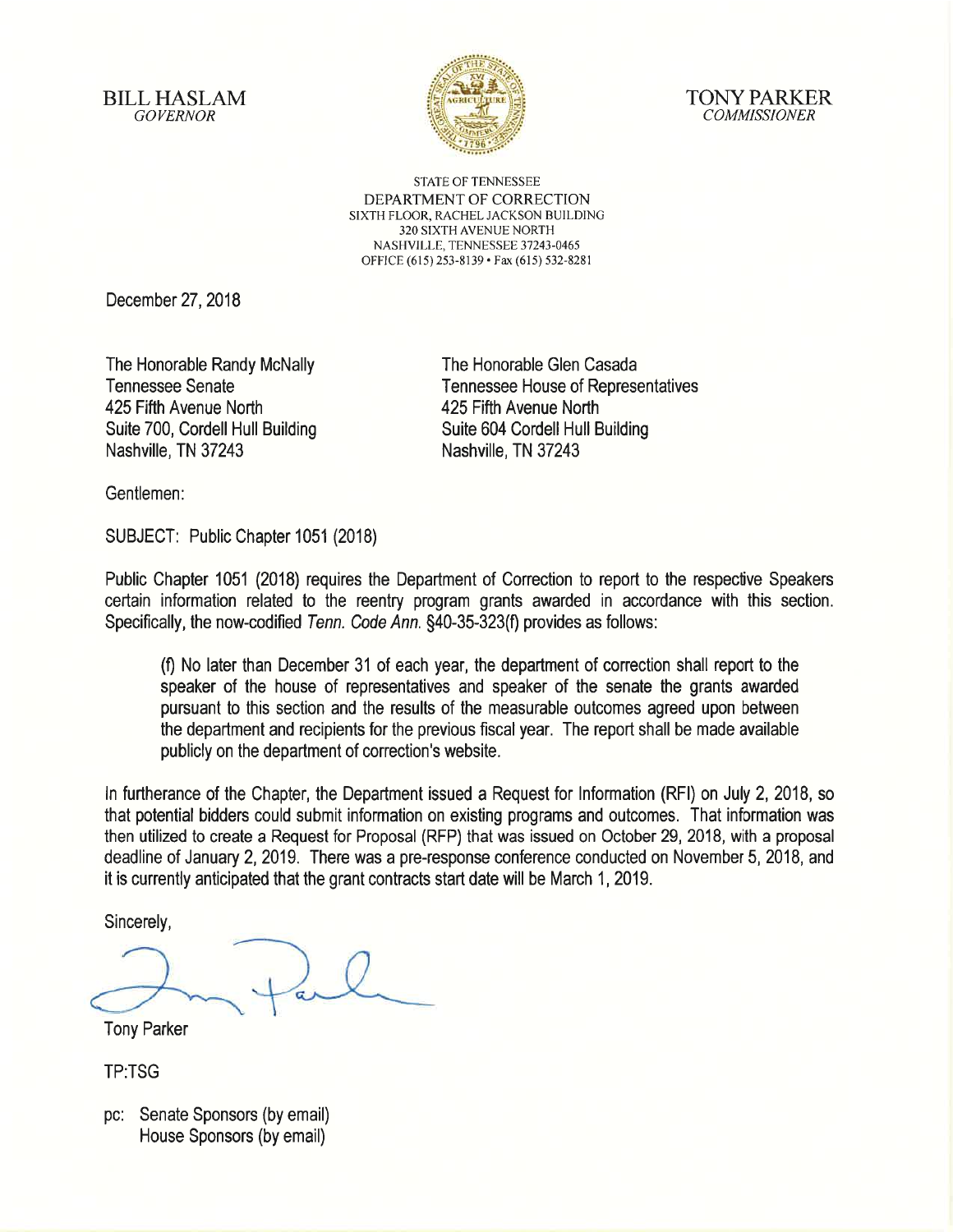**BILL HASLAM GOVERNOR** 





**STATE OF TENNESSEE** DEPARTMENT OF CORRECTION SIXTH FLOOR, RACHEL JACKSON BUILDING 320 SIXTH AVENUE NORTH NASHVILLE, TENNESSEE 37243-0465 OFFICE (615) 253-8139 · Fax (615) 532-8281

December 27, 2018

The Honorable Randy McNally **Tennessee Senate** 425 Fifth Avenue North Suite 700, Cordell Hull Building Nashville, TN 37243

The Honorable Glen Casada **Tennessee House of Representatives** 425 Fifth Avenue North Suite 604 Cordell Hull Building Nashville, TN 37243

Gentlemen:

SUBJECT: Public Chapter 1051 (2018)

Public Chapter 1051 (2018) requires the Department of Correction to report to the respective Speakers certain information related to the reentry program grants awarded in accordance with this section. Specifically, the now-codified Tenn. Code Ann. §40-35-323(f) provides as follows:

(f) No later than December 31 of each year, the department of correction shall report to the speaker of the house of representatives and speaker of the senate the grants awarded pursuant to this section and the results of the measurable outcomes agreed upon between the department and recipients for the previous fiscal year. The report shall be made available publicly on the department of correction's website.

In furtherance of the Chapter, the Department issued a Request for Information (RFI) on July 2, 2018, so that potential bidders could submit information on existing programs and outcomes. That information was then utilized to create a Request for Proposal (RFP) that was issued on October 29, 2018, with a proposal deadline of January 2, 2019. There was a pre-response conference conducted on November 5, 2018, and it is currently anticipated that the grant contracts start date will be March 1, 2019.

Sincerely,

**Tony Parker** 

**TP:TSG** 

pc: Senate Sponsors (by email) House Sponsors (by email)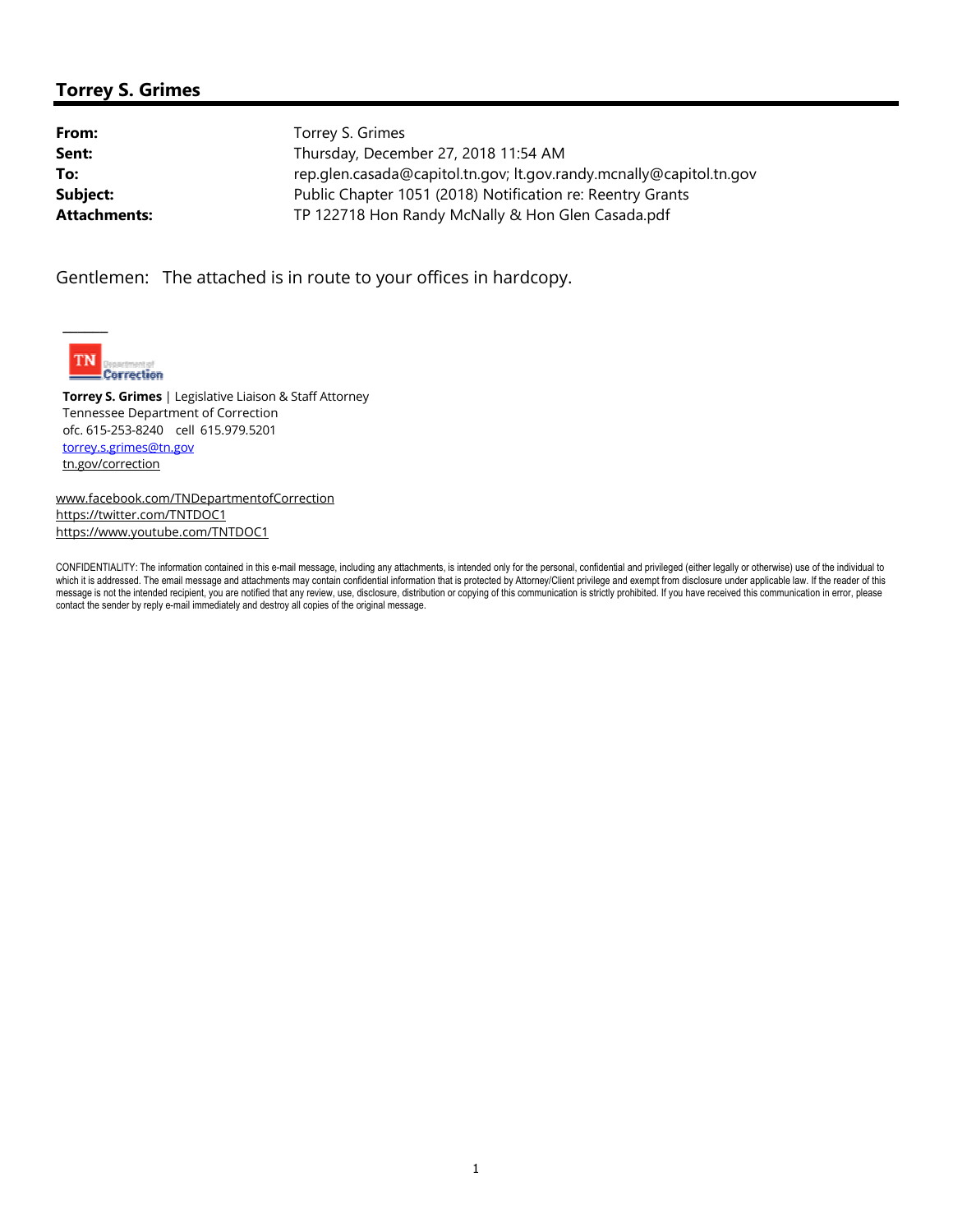## **Torrey S. Grimes**

| Torrey S. Grimes                                                    |
|---------------------------------------------------------------------|
| Thursday, December 27, 2018 11:54 AM                                |
| rep.glen.casada@capitol.tn.gov; lt.gov.randy.mcnally@capitol.tn.gov |
| Public Chapter 1051 (2018) Notification re: Reentry Grants          |
| TP 122718 Hon Randy McNally & Hon Glen Casada.pdf                   |
|                                                                     |

Gentlemen: The attached is in route to your offices in hardcopy.



 $\overline{\phantom{a}}$ 

**Torrey S. Grimes** | Legislative Liaison & Staff Attorney Tennessee Department of Correction ofc. 615-253-8240 cell 615.979.5201 torrey.s.grimes@tn.gov tn.gov/correction

www.facebook.com/TNDepartmentofCorrection https://twitter.com/TNTDOC1 https://www.youtube.com/TNTDOC1

CONFIDENTIALITY: The information contained in this e-mail message, including any attachments, is intended only for the personal, confidential and privileged (either legally or otherwise) use of the individual to which it is addressed. The email message and attachments may contain confidential information that is protected by Attorney/Client privilege and exempt from disclosure under applicable law. If the reader of this message is not the intended recipient, you are notified that any review, use, disclosure, distribution or copying of this communication is strictly prohibited. If you have received this communication in error, please contact the sender by reply e-mail immediately and destroy all copies of the original message.